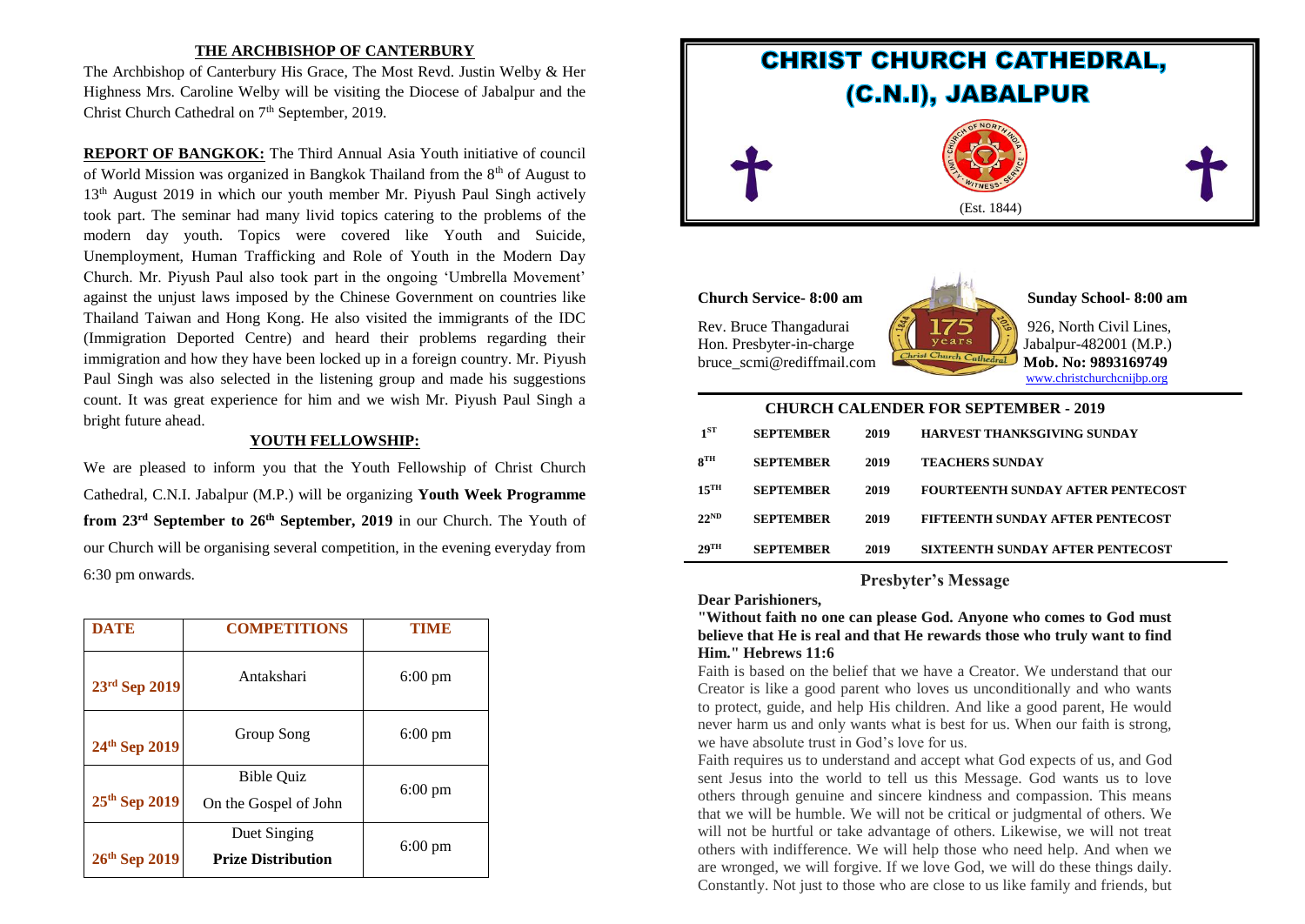# **THE ARCHBISHOP OF CANTERBURY**

The Archbishop of Canterbury His Grace, The Most Revd. Justin Welby & Her Highness Mrs. Caroline Welby will be visiting the Diocese of Jabalpur and the Christ Church Cathedral on 7<sup>th</sup> September, 2019.

**REPORT OF BANGKOK:** The Third Annual Asia Youth initiative of council of World Mission was organized in Bangkok Thailand from the 8<sup>th</sup> of August to 13<sup>th</sup> August 2019 in which our youth member Mr. Piyush Paul Singh actively took part. The seminar had many livid topics catering to the problems of the modern day youth. Topics were covered like Youth and Suicide, Unemployment, Human Trafficking and Role of Youth in the Modern Day Church. Mr. Piyush Paul also took part in the ongoing 'Umbrella Movement' against the unjust laws imposed by the Chinese Government on countries like Thailand Taiwan and Hong Kong. He also visited the immigrants of the IDC (Immigration Deported Centre) and heard their problems regarding their immigration and how they have been locked up in a foreign country. Mr. Piyush Paul Singh was also selected in the listening group and made his suggestions count. It was great experience for him and we wish Mr. Piyush Paul Singh a bright future ahead.

#### **YOUTH FELLOWSHIP:**

We are pleased to inform you that the Youth Fellowship of Christ Church Cathedral, C.N.I. Jabalpur (M.P.) will be organizing **Youth Week Programme from 23rd September to 26th September, 2019** in our Church. The Youth of our Church will be organising several competition, in the evening everyday from 6:30 pm onwards.

| <b>DATE</b>   | <b>COMPETITIONS</b>                                             | TIME              |
|---------------|-----------------------------------------------------------------|-------------------|
| 23rd Sep 2019 | Antakshari                                                      | $6:00 \text{ pm}$ |
| 24th Sep 2019 | Group Song                                                      | $6:00 \text{ pm}$ |
| 25th Sep 2019 | <b>Bible Ouiz</b><br>$6:00 \text{ pm}$<br>On the Gospel of John |                   |
| 26th Sep 2019 | Duet Singing<br><b>Prize Distribution</b>                       | $6:00 \text{ pm}$ |



**Church Service- 8:00 am Sunday School- 8:00 am**

Rev. Bruce Thangadurai  $\sqrt{\frac{3}{2}}$  175 \ 926, North Civil Lines,

Hon. Presbyter-in-charge  $\left| \iint \right|$  years  $\left| \iint \right|$  Jabalpur-482001 (M.P.) bruce scmi@rediffmail.com [www.christchurchcnijbp.org](http://www.christchurchcnijbp.org/)

| <b>CHURCH CALENDER FOR SEPTEMBER - 2019</b> |                  |      |                                          |  |
|---------------------------------------------|------------------|------|------------------------------------------|--|
| 1 <sup>st</sup>                             | <b>SEPTEMBER</b> | 2019 | HARVEST THANKSGIVING SUNDAY              |  |
| 8 <sup>TH</sup>                             | <b>SEPTEMBER</b> | 2019 | <b>TEACHERS SUNDAY</b>                   |  |
| $15$ <sup>TH</sup>                          | <b>SEPTEMBER</b> | 2019 | <b>FOURTEENTH SUNDAY AFTER PENTECOST</b> |  |
| $22^{ND}$                                   | <b>SEPTEMBER</b> | 2019 | FIFTEENTH SUNDAY AFTER PENTECOST         |  |
| 29 <sup>TH</sup>                            | <b>SEPTEMBER</b> | 2019 | SIXTEENTH SUNDAY AFTER PENTECOST         |  |

# **Presbyter's Message**

**Dear Parishioners,**

**"Without faith no one can please God. Anyone who comes to God must believe that He is real and that He rewards those who truly want to find Him." Hebrews 11:6**

Faith is based on the belief that we have a Creator. We understand that our Creator is like a good parent who loves us unconditionally and who wants to protect, guide, and help His children. And like a good parent, He would never harm us and only wants what is best for us. When our faith is strong, we have absolute trust in God's love for us.

Faith requires us to understand and accept what God expects of us, and God sent Jesus into the world to tell us this Message. God wants us to love others through genuine and sincere kindness and compassion. This means that we will be humble. We will not be critical or judgmental of others. We will not be hurtful or take advantage of others. Likewise, we will not treat others with indifference. We will help those who need help. And when we are wronged, we will forgive. If we love God, we will do these things daily. Constantly. Not just to those who are close to us like family and friends, but